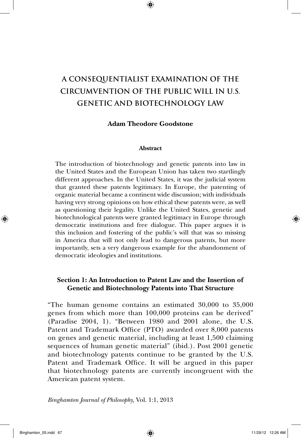# **A CONSEQUENTIALIST EXAMINATION OF THE CIRCUMVENTION OF THE PUBLIC WILL IN U.S. GENETIC AND BIOTECHNOLOGY LAW**

### **Adam Theodore Goodstone**

### **Abstract**

The introduction of biotechnology and genetic patents into law in the United States and the European Union has taken two startlingly different approaches. In the United States, it was the judicial system that granted these patents legitimacy. In Europe, the patenting of organic material became a continent wide discussion; with individuals having very strong opinions on how ethical these patents were, as well as questioning their legality. Unlike the United States, genetic and biotechnological patents were granted legitimacy in Europe through democratic institutions and free dialogue. This paper argues it is this inclusion and fostering of the public's will that was so missing in America that will not only lead to dangerous patents, but more importantly, sets a very dangerous example for the abandonment of democratic ideologies and institutions.

### **Section 1: An Introduction to Patent Law and the Insertion of Genetic and Biotechnology Patents into That Structure**

"The human genome contains an estimated 30,000 to 35,000 genes from which more than 100,000 proteins can be derived" (Paradise 2004, 1). "Between 1980 and 2001 alone, the U.S. Patent and Trademark Office (PTO) awarded over 8,000 patents on genes and genetic material, including at least 1,500 claiming sequences of human genetic material" (ibid.). Post 2001 genetic and biotechnology patents continue to be granted by the U.S. Patent and Trademark Office. It will be argued in this paper that biotechnology patents are currently incongruent with the American patent system.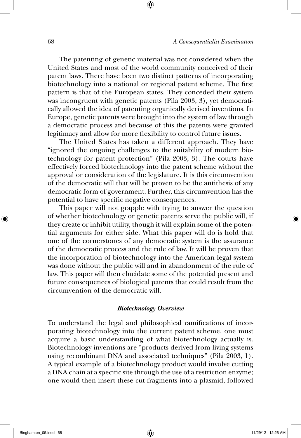The patenting of genetic material was not considered when the United States and most of the world community conceived of their patent laws. There have been two distinct patterns of incorporating biotechnology into a national or regional patent scheme. The first pattern is that of the European states. They conceded their system was incongruent with genetic patents (Pila 2003, 3), yet democratically allowed the idea of patenting organically derived inventions. In Europe, genetic patents were brought into the system of law through a democratic process and because of this the patents were granted legitimacy and allow for more flexibility to control future issues.

The United States has taken a different approach. They have "ignored the ongoing challenges to the suitability of modern biotechnology for patent protection" (Pila 2003, 3). The courts have effectively forced biotechnology into the patent scheme without the approval or consideration of the legislature. It is this circumvention of the democratic will that will be proven to be the antithesis of any democratic form of government. Further, this circumvention has the potential to have specific negative consequences.

This paper will not grapple with trying to answer the question of whether biotechnology or genetic patents serve the public will, if they create or inhibit utility, though it will explain some of the potential arguments for either side. What this paper will do is hold that one of the cornerstones of any democratic system is the assurance of the democratic process and the rule of law. It will be proven that the incorporation of biotechnology into the American legal system was done without the public will and in abandonment of the rule of law. This paper will then elucidate some of the potential present and future consequences of biological patents that could result from the circumvention of the democratic will.

### *Biotechnology Overview*

To understand the legal and philosophical ramifications of incorporating biotechnology into the current patent scheme, one must acquire a basic understanding of what biotechnology actually is. Biotechnology inventions are "products derived from living systems using recombinant DNA and associated techniques" (Pila 2003, 1). A typical example of a biotechnology product would involve cutting a DNA chain at a specific site through the use of a restriction enzyme; one would then insert these cut fragments into a plasmid, followed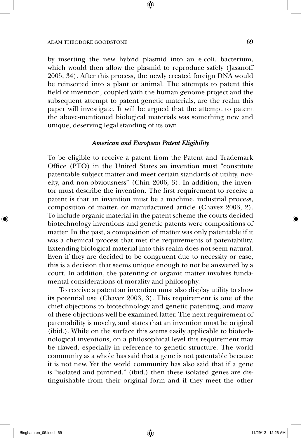by inserting the new hybrid plasmid into an e.coli. bacterium, which would then allow the plasmid to reproduce safely (Jasanoff 2005, 34). After this process, the newly created foreign DNA would be reinserted into a plant or animal. The attempts to patent this field of invention, coupled with the human genome project and the subsequent attempt to patent genetic materials, are the realm this paper will investigate. It will be argued that the attempt to patent the above-mentioned biological materials was something new and unique, deserving legal standing of its own.

### *American and European Patent Eligibility*

To be eligible to receive a patent from the Patent and Trademark Office (PTO) in the United States an invention must "constitute patentable subject matter and meet certain standards of utility, novelty, and non-obviousness" (Chin 2006, 3). In addition, the inventor must describe the invention. The first requirement to receive a patent is that an invention must be a machine, industrial process, composition of matter, or manufactured article (Chavez 2003, 2). To include organic material in the patent scheme the courts decided biotechnology inventions and genetic patents were compositions of matter. In the past, a composition of matter was only patentable if it was a chemical process that met the requirements of patentability. Extending biological material into this realm does not seem natural. Even if they are decided to be congruent due to necessity or ease, this is a decision that seems unique enough to not be answered by a court. In addition, the patenting of organic matter involves fundamental considerations of morality and philosophy.

To receive a patent an invention must also display utility to show its potential use (Chavez 2003, 3). This requirement is one of the chief objections to biotechnology and genetic patenting, and many of these objections well be examined latter. The next requirement of patentability is novelty, and states that an invention must be original (ibid.). While on the surface this seems easily applicable to biotechnological inventions, on a philosophical level this requirement may be flawed, especially in reference to genetic structure. The world community as a whole has said that a gene is not patentable because it is not new. Yet the world community has also said that if a gene is "isolated and purified," (ibid.) then these isolated genes are distinguishable from their original form and if they meet the other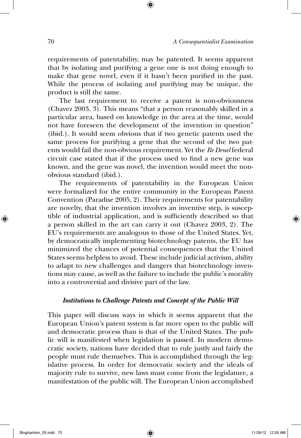requirements of patentability, may be patented. It seems apparent that by isolating and purifying a gene one is not doing enough to make that gene novel, even if it hasn't been purified in the past. While the process of isolating and purifying may be unique, the product is still the same.

The last requirement to receive a patent is non-obviousness (Chavez 2003, 3). This means "that a person reasonably skilled in a particular area, based on knowledge in the area at the time, would not have foreseen the development of the invention in question" (ibid.). It would seem obvious that if two genetic patents used the same process for purifying a gene that the second of the two patents would fail the non-obvious requirement. Yet the *Re Deuel* federal circuit case stated that if the process used to find a new gene was known, and the gene was novel, the invention would meet the nonobvious standard (ibid.).

The requirements of patentability in the European Union were formalized for the entire community in the European Patent Convention (Paradise 2005, 2). Their requirements for patentability are novelty, that the invention involves an inventive step, is susceptible of industrial application, and is sufficiently described so that a person skilled in the art can carry it out (Chavez 2003, 2). The EU's requirements are analogous to those of the United States. Yet, by democratically implementing biotechnology patents, the EU has minimized the chances of potential consequences that the United States seems helpless to avoid. These include judicial activism, ability to adapt to new challenges and dangers that biotechnology inventions may cause, as well as the failure to include the public's morality into a controversial and divisive part of the law.

### *Institutions to Challenge Patents and Concept of the Public Will*

This paper will discuss ways in which it seems apparent that the European Union's patent system is far more open to the public will and democratic process than is that of the United States. The public will is manifested when legislation is passed. In modern democratic society, nations have decided that to rule justly and fairly the people must rule themselves. This is accomplished through the legislative process. In order for democratic society and the ideals of majority rule to survive, new laws must come from the legislature, a manifestation of the public will. The European Union accomplished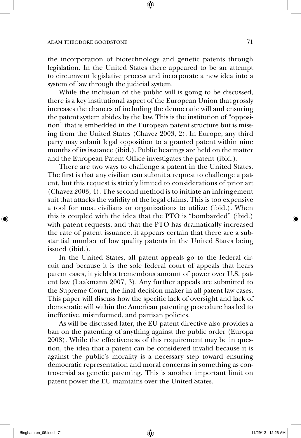the incorporation of biotechnology and genetic patents through legislation. In the United States there appeared to be an attempt to circumvent legislative process and incorporate a new idea into a system of law through the judicial system.

While the inclusion of the public will is going to be discussed, there is a key institutional aspect of the European Union that grossly increases the chances of including the democratic will and ensuring the patent system abides by the law. This is the institution of "opposition" that is embedded in the European patent structure but is missing from the United States (Chavez 2003, 2). In Europe, any third party may submit legal opposition to a granted patent within nine months of its issuance (ibid.). Public hearings are held on the matter and the European Patent Office investigates the patent (ibid.).

There are two ways to challenge a patent in the United States. The first is that any civilian can submit a request to challenge a patent, but this request is strictly limited to considerations of prior art (Chavez 2003, 4). The second method is to initiate an infringement suit that attacks the validity of the legal claims. This is too expensive a tool for most civilians or organizations to utilize (ibid.). When this is coupled with the idea that the PTO is "bombarded" (ibid.) with patent requests, and that the PTO has dramatically increased the rate of patent issuance, it appears certain that there are a substantial number of low quality patents in the United States being issued (ibid.).

In the United States, all patent appeals go to the federal circuit and because it is the sole federal court of appeals that hears patent cases, it yields a tremendous amount of power over U.S. patent law (Laakmann 2007, 3). Any further appeals are submitted to the Supreme Court, the final decision maker in all patent law cases. This paper will discuss how the specific lack of oversight and lack of democratic will within the American patenting procedure has led to ineffective, misinformed, and partisan policies.

As will be discussed later, the EU patent directive also provides a ban on the patenting of anything against the public order (Europa 2008). While the effectiveness of this requirement may be in question, the idea that a patent can be considered invalid because it is against the public's morality is a necessary step toward ensuring democratic representation and moral concerns in something as controversial as genetic patenting. This is another important limit on patent power the EU maintains over the United States.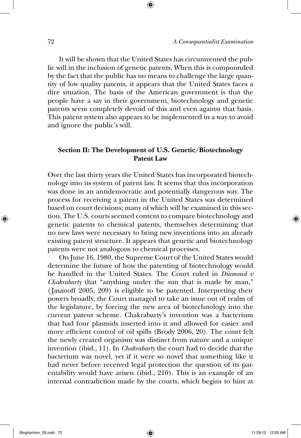It will be shown that the United States has circumvented the public will in the inclusion of genetic patents. When this is compounded by the fact that the public has no means to challenge the large quantity of low quality patents, it appears that the United States faces a dire situation. The basis of the American government is that the people have a say in their government, biotechnology and genetic patents seem completely devoid of this and even against that basis. This patent system also appears to be implemented in a way to avoid and ignore the public's will.

## **Section II: The Development of U.S. Genetic/Biotechnology Patent Law**

Over the last thirty years the United States has incorporated biotechnology into its system of patent law. It seems that this incorporation was done in an antidemocratic and potentially dangerous way. The process for receiving a patent in the United States was determined based on court decisions; many of which will be examined in this section. The U.S. courts seemed content to compare biotechnology and genetic patents to chemical patents, themselves determining that no new laws were necessary to bring new inventions into an already existing patent structure. It appears that genetic and biotechnology patents were not analogous to chemical processes.

On June 16, 1980, the Supreme Court of the United States would determine the future of how the patenting of biotechnology would be handled in the United States. The Court ruled in *Diamond v Chakrabarty* that "anything under the sun that is made by man," ( Jasanoff 2005, 209) is eligible to be patented. Interpreting their powers broadly, the Court managed to take an issue out of realm of the legislature, by forcing the new area of biotechnology into the current patent scheme. Chakrabarty's invention was a bacterium that had four plasmids inserted into it and allowed for easier and more efficient control of oil spills (Brody 2006, 20). The court felt the newly created organism was distinct from nature and a unique invention (ibid., 11). In *Chakrabarty* the court had to decide that the bacterium was novel, yet if it were so novel that something like it had never before received legal protection the question of its patentability would have arisen (ibid., 210). This is an example of an internal contradiction made by the courts, which begins to hint at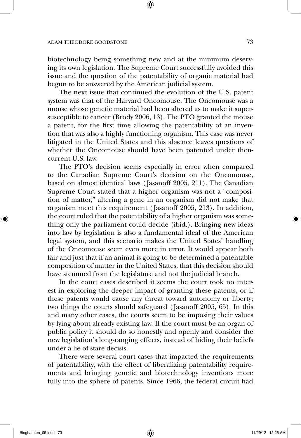biotechnology being something new and at the minimum deserving its own legislation. The Supreme Court successfully avoided this issue and the question of the patentability of organic material had begun to be answered by the American judicial system.

The next issue that continued the evolution of the U.S. patent system was that of the Harvard Oncomouse. The Oncomouse was a mouse whose genetic material had been altered as to make it supersusceptible to cancer (Brody 2006, 13). The PTO granted the mouse a patent, for the first time allowing the patentability of an invention that was also a highly functioning organism. This case was never litigated in the United States and this absence leaves questions of whether the Oncomouse should have been patented under thencurrent U.S. law.

The PTO's decision seems especially in error when compared to the Canadian Supreme Court's decision on the Oncomouse, based on almost identical laws ( Jasanoff 2005, 211). The Canadian Supreme Court stated that a higher organism was not a "composition of matter," altering a gene in an organism did not make that organism meet this requirement ( Jasanoff 2005, 213). In addition, the court ruled that the patentability of a higher organism was something only the parliament could decide (ibid.). Bringing new ideas into law by legislation is also a fundamental ideal of the American legal system, and this scenario makes the United States' handling of the Oncomouse seem even more in error. It would appear both fair and just that if an animal is going to be determined a patentable composition of matter in the United States, that this decision should have stemmed from the legislature and not the judicial branch.

In the court cases described it seems the court took no interest in exploring the deeper impact of granting these patents, or if these patents would cause any threat toward autonomy or liberty; two things the courts should safeguard ( Jasanoff 2005, 65). In this and many other cases, the courts seem to be imposing their values by lying about already existing law. If the court must be an organ of public policy it should do so honestly and openly and consider the new legislation's long-ranging effects, instead of hiding their beliefs under a lie of stare decisis.

There were several court cases that impacted the requirements of patentability, with the effect of liberalizing patentability requirements and bringing genetic and biotechnology inventions more fully into the sphere of patents. Since 1966, the federal circuit had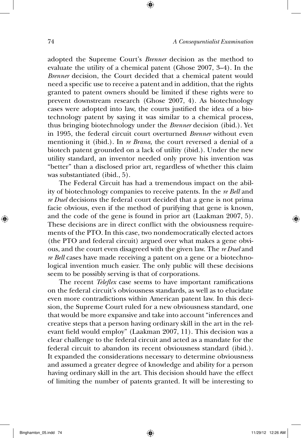adopted the Supreme Court's *Brenner* decision as the method to evaluate the utility of a chemical patent (Ghose 2007, 3–4). In the *Brenner* decision, the Court decided that a chemical patent would need a specific use to receive a patent and in addition, that the rights granted to patent owners should be limited if these rights were to prevent downstream research (Ghose 2007, 4). As biotechnology cases were adopted into law, the courts justified the idea of a biotechnology patent by saying it was similar to a chemical process, thus bringing biotechnology under the *Brenner* decision (ibid.). Yet in 1995, the federal circuit court overturned *Brenner* without even mentioning it (ibid.). In *re Brana,* the court reversed a denial of a biotech patent grounded on a lack of utility (ibid.). Under the new utility standard, an inventor needed only prove his invention was "better" than a disclosed prior art, regardless of whether this claim was substantiated (ibid., 5).

The Federal Circuit has had a tremendous impact on the ability of biotechnology companies to receive patents. In the *re Bell* and *re Duel* decisions the federal court decided that a gene is not prima facie obvious, even if the method of purifying that gene is known, and the code of the gene is found in prior art (Laakman 2007, 5). These decisions are in direct conflict with the obviousness requirements of the PTO. In this case, two nondemocratically elected actors (the PTO and federal circuit) argued over what makes a gene obvious, and the court even disagreed with the given law. The *re Duel* and *re Bell* cases have made receiving a patent on a gene or a biotechnological invention much easier. The only public will these decisions seem to be possibly serving is that of corporations.

The recent *Teleflex* case seems to have important ramifications on the federal circuit's obviousness standards, as well as to elucidate even more contradictions within American patent law. In this decision, the Supreme Court ruled for a new obviousness standard, one that would be more expansive and take into account "inferences and creative steps that a person having ordinary skill in the art in the relevant field would employ" (Laakman 2007, 11). This decision was a clear challenge to the federal circuit and acted as a mandate for the federal circuit to abandon its recent obviousness standard (ibid.). It expanded the considerations necessary to determine obviousness and assumed a greater degree of knowledge and ability for a person having ordinary skill in the art. This decision should have the effect of limiting the number of patents granted. It will be interesting to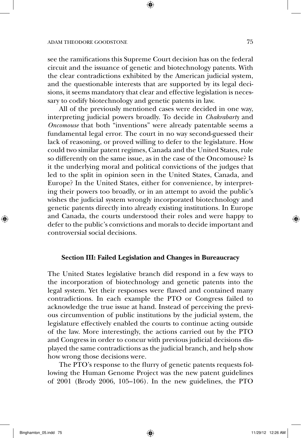see the ramifications this Supreme Court decision has on the federal circuit and the issuance of genetic and biotechnology patents. With the clear contradictions exhibited by the American judicial system, and the questionable interests that are supported by its legal decisions, it seems mandatory that clear and effective legislation is necessary to codify biotechnology and genetic patents in law.

All of the previously mentioned cases were decided in one way, interpreting judicial powers broadly. To decide in *Chakrabarty* and *Oncomouse* that both "inventions" were already patentable seems a fundamental legal error. The court in no way second-guessed their lack of reasoning, or proved willing to defer to the legislature. How could two similar patent regimes, Canada and the United States, rule so differently on the same issue, as in the case of the Oncomouse? Is it the underlying moral and political convictions of the judges that led to the split in opinion seen in the United States, Canada, and Europe? In the United States, either for convenience, by interpreting their powers too broadly, or in an attempt to avoid the public's wishes the judicial system wrongly incorporated biotechnology and genetic patents directly into already existing institutions. In Europe and Canada, the courts understood their roles and were happy to defer to the public's convictions and morals to decide important and controversial social decisions.

### **Section III: Failed Legislation and Changes in Bureaucracy**

The United States legislative branch did respond in a few ways to the incorporation of biotechnology and genetic patents into the legal system. Yet their responses were flawed and contained many contradictions. In each example the PTO or Congress failed to acknowledge the true issue at hand. Instead of perceiving the previous circumvention of public institutions by the judicial system, the legislature effectively enabled the courts to continue acting outside of the law. More interestingly, the actions carried out by the PTO and Congress in order to concur with previous judicial decisions displayed the same contradictions as the judicial branch, and help show how wrong those decisions were.

The PTO's response to the flurry of genetic patents requests following the Human Genome Project was the new patent guidelines of 2001 (Brody 2006, 105–106). In the new guidelines, the PTO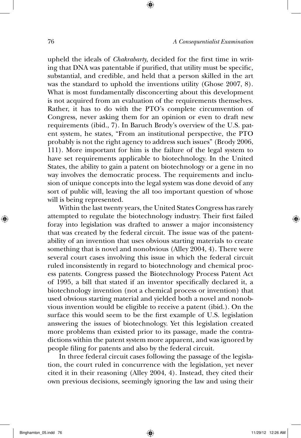upheld the ideals of *Chakrabarty,* decided for the first time in writing that DNA was patentable if purified, that utility must be specific, substantial, and credible, and held that a person skilled in the art was the standard to uphold the inventions utility (Ghose 2007, 8). What is most fundamentally disconcerting about this development is not acquired from an evaluation of the requirements themselves. Rather, it has to do with the PTO's complete circumvention of Congress, never asking them for an opinion or even to draft new requirements (ibid., 7). In Baruch Brody's overview of the U.S. patent system, he states, "From an institutional perspective, the PTO probably is not the right agency to address such issues" (Brody 2006, 111). More important for him is the failure of the legal system to have set requirements applicable to biotechnology. In the United States, the ability to gain a patent on biotechnology or a gene in no way involves the democratic process. The requirements and inclusion of unique concepts into the legal system was done devoid of any sort of public will, leaving the all too important question of whose will is being represented.

Within the last twenty years, the United States Congress has rarely attempted to regulate the biotechnology industry. Their first failed foray into legislation was drafted to answer a major inconsistency that was created by the federal circuit. The issue was of the patentability of an invention that uses obvious starting materials to create something that is novel and nonobvious (Alley 2004, 4). There were several court cases involving this issue in which the federal circuit ruled inconsistently in regard to biotechnology and chemical process patents. Congress passed the Biotechnology Process Patent Act of 1995, a bill that stated if an inventor specifically declared it, a biotechnology invention (not a chemical process or invention) that used obvious starting material and yielded both a novel and nonobvious invention would be eligible to receive a patent (ibid.). On the surface this would seem to be the first example of U.S. legislation answering the issues of biotechnology. Yet this legislation created more problems than existed prior to its passage, made the contradictions within the patent system more apparent, and was ignored by people filing for patents and also by the federal circuit.

In three federal circuit cases following the passage of the legislation, the court ruled in concurrence with the legislation, yet never cited it in their reasoning (Alley 2004, 4). Instead, they cited their own previous decisions, seemingly ignoring the law and using their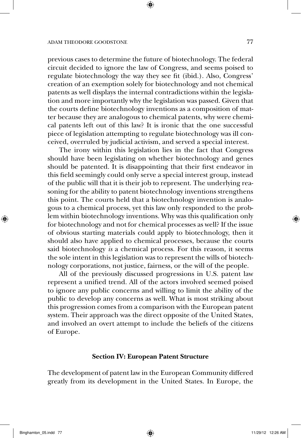previous cases to determine the future of biotechnology. The federal circuit decided to ignore the law of Congress, and seems poised to regulate biotechnology the way they see fit (ibid.). Also, Congress' creation of an exemption solely for biotechnology and not chemical patents as well displays the internal contradictions within the legislation and more importantly why the legislation was passed. Given that the courts define biotechnology inventions as a composition of matter because they are analogous to chemical patents, why were chemical patents left out of this law? It is ironic that the one successful piece of legislation attempting to regulate biotechnology was ill conceived, overruled by judicial activism, and served a special interest.

The irony within this legislation lies in the fact that Congress should have been legislating on whether biotechnology and genes should be patented. It is disappointing that their first endeavor in this field seemingly could only serve a special interest group, instead of the public will that it is their job to represent. The underlying reasoning for the ability to patent biotechnology inventions strengthens this point. The courts held that a biotechnology invention is analogous to a chemical process, yet this law only responded to the problem within biotechnology inventions. Why was this qualification only for biotechnology and not for chemical processes as well? If the issue of obvious starting materials could apply to biotechnology, then it should also have applied to chemical processes, because the courts said biotechnology *is* a chemical process. For this reason, it seems the sole intent in this legislation was to represent the wills of biotechnology corporations, not justice, fairness, or the will of the people.

All of the previously discussed progressions in U.S. patent law represent a unified trend. All of the actors involved seemed poised to ignore any public concerns and willing to limit the ability of the public to develop any concerns as well. What is most striking about this progression comes from a comparison with the European patent system. Their approach was the direct opposite of the United States, and involved an overt attempt to include the beliefs of the citizens of Europe.

#### **Section IV: European Patent Structure**

The development of patent law in the European Community differed greatly from its development in the United States. In Europe, the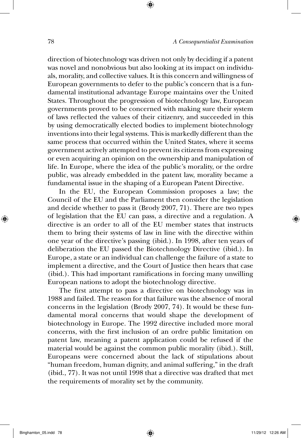direction of biotechnology was driven not only by deciding if a patent was novel and nonobvious but also looking at its impact on individuals, morality, and collective values. It is this concern and willingness of European governments to defer to the public's concern that is a fundamental institutional advantage Europe maintains over the United States. Throughout the progression of biotechnology law, European governments proved to be concerned with making sure their system of laws reflected the values of their citizenry, and succeeded in this by using democratically elected bodies to implement biotechnology inventions into their legal systems. This is markedly different than the same process that occurred within the United States, where it seems government actively attempted to prevent its citizens from expressing or even acquiring an opinion on the ownership and manipulation of life. In Europe, where the idea of the public's morality, or the ordre public, was already embedded in the patent law, morality became a fundamental issue in the shaping of a European Patent Directive.

In the EU, the European Commission proposes a law; the Council of the EU and the Parliament then consider the legislation and decide whether to pass it (Brody 2007, 71). There are two types of legislation that the EU can pass, a directive and a regulation. A directive is an order to all of the EU member states that instructs them to bring their systems of law in line with the directive within one year of the directive's passing (ibid.). In 1998, after ten years of deliberation the EU passed the Biotechnology Directive (ibid.). In Europe, a state or an individual can challenge the failure of a state to implement a directive, and the Court of Justice then hears that case (ibid.). This had important ramifications in forcing many unwilling European nations to adopt the biotechnology directive.

The first attempt to pass a directive on biotechnology was in 1988 and failed. The reason for that failure was the absence of moral concerns in the legislation (Brody 2007, 74). It would be these fundamental moral concerns that would shape the development of biotechnology in Europe. The 1992 directive included more moral concerns, with the first inclusion of an ordre public limitation on patent law, meaning a patent application could be refused if the material would be against the common public morality (ibid.). Still, Europeans were concerned about the lack of stipulations about "human freedom, human dignity, and animal suffering," in the draft (ibid., 77). It was not until 1998 that a directive was drafted that met the requirements of morality set by the community.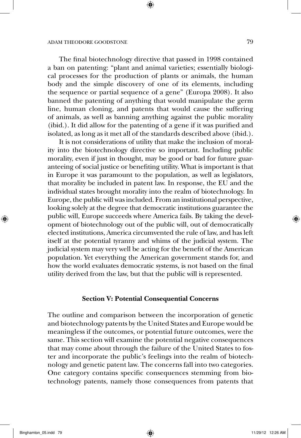The final biotechnology directive that passed in 1998 contained a ban on patenting: "plant and animal varieties; essentially biological processes for the production of plants or animals, the human body and the simple discovery of one of its elements, including the sequence or partial sequence of a gene" (Europa 2008). It also banned the patenting of anything that would manipulate the germ line, human cloning, and patents that would cause the suffering of animals, as well as banning anything against the public morality (ibid.). It did allow for the patenting of a gene if it was purified and isolated, as long as it met all of the standards described above (ibid.).

It is not considerations of utility that make the inclusion of morality into the biotechnology directive so important. Including public morality, even if just in thought, may be good or bad for future guaranteeing of social justice or benefiting utility. What is important is that in Europe it was paramount to the population, as well as legislators, that morality be included in patent law. In response, the EU and the individual states brought morality into the realm of biotechnology. In Europe, the public will was included. From an institutional perspective, looking solely at the degree that democratic institutions guarantee the public will, Europe succeeds where America fails. By taking the development of biotechnology out of the public will, out of democratically elected institutions, America circumvented the rule of law, and has left itself at the potential tyranny and whims of the judicial system. The judicial system may very well be acting for the benefit of the American population. Yet everything the American government stands for, and how the world evaluates democratic systems, is not based on the final utility derived from the law, but that the public will is represented.

### **Section V: Potential Consequential Concerns**

The outline and comparison between the incorporation of genetic and biotechnology patents by the United States and Europe would be meaningless if the outcomes, or potential future outcomes, were the same. This section will examine the potential negative consequences that may come about through the failure of the United States to foster and incorporate the public's feelings into the realm of biotechnology and genetic patent law. The concerns fall into two categories. One category contains specific consequences stemming from biotechnology patents, namely those consequences from patents that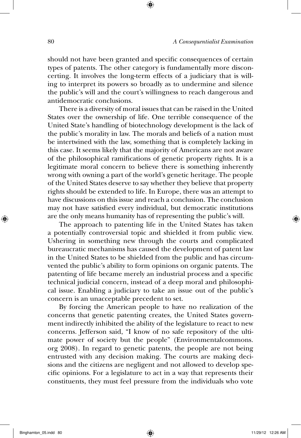should not have been granted and specific consequences of certain types of patents. The other category is fundamentally more disconcerting. It involves the long-term effects of a judiciary that is willing to interpret its powers so broadly as to undermine and silence the public's will and the court's willingness to reach dangerous and antidemocratic conclusions.

There is a diversity of moral issues that can be raised in the United States over the ownership of life. One terrible consequence of the United State's handling of biotechnology development is the lack of the public's morality in law. The morals and beliefs of a nation must be intertwined with the law, something that is completely lacking in this case. It seems likely that the majority of Americans are not aware of the philosophical ramifications of genetic property rights. It is a legitimate moral concern to believe there is something inherently wrong with owning a part of the world's genetic heritage. The people of the United States deserve to say whether they believe that property rights should be extended to life. In Europe, there was an attempt to have discussions on this issue and reach a conclusion. The conclusion may not have satisfied every individual, but democratic institutions are the only means humanity has of representing the public's will.

The approach to patenting life in the United States has taken a potentially controversial topic and shielded it from public view. Ushering in something new through the courts and complicated bureaucratic mechanisms has caused the development of patent law in the United States to be shielded from the public and has circumvented the public's ability to form opinions on organic patents. The patenting of life became merely an industrial process and a specific technical judicial concern, instead of a deep moral and philosophical issue. Enabling a judiciary to take an issue out of the public's concern is an unacceptable precedent to set.

By forcing the American people to have no realization of the concerns that genetic patenting creates, the United States government indirectly inhibited the ability of the legislature to react to new concerns. Jefferson said, "I know of no safe repository of the ultimate power of society but the people" (Environmentalcommons. org 2008). In regard to genetic patents, the people are not being entrusted with any decision making. The courts are making decisions and the citizens are negligent and not allowed to develop specific opinions. For a legislature to act in a way that represents their constituents, they must feel pressure from the individuals who vote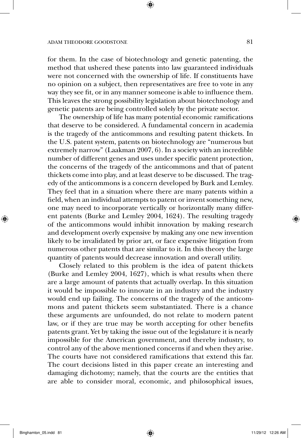for them. In the case of biotechnology and genetic patenting, the method that ushered these patents into law guaranteed individuals were not concerned with the ownership of life. If constituents have no opinion on a subject, then representatives are free to vote in any way they see fit, or in any manner someone is able to influence them. This leaves the strong possibility legislation about biotechnology and genetic patents are being controlled solely by the private sector.

The ownership of life has many potential economic ramifications that deserve to be considered. A fundamental concern in academia is the tragedy of the anticommons and resulting patent thickets. In the U.S. patent system, patents on biotechnology are "numerous but extremely narrow" (Laakman 2007, 6). In a society with an incredible number of different genes and uses under specific patent protection, the concerns of the tragedy of the anticommons and that of patent thickets come into play, and at least deserve to be discussed. The tragedy of the anticommons is a concern developed by Burk and Lemley. They feel that in a situation where there are many patents within a field, when an individual attempts to patent or invent something new, one may need to incorporate vertically or horizontally many different patents (Burke and Lemley 2004, 1624). The resulting tragedy of the anticommons would inhibit innovation by making research and development overly expensive by making any one new invention likely to be invalidated by prior art, or face expensive litigation from numerous other patents that are similar to it. In this theory the large quantity of patents would decrease innovation and overall utility.

Closely related to this problem is the idea of patent thickets (Burke and Lemley 2004, 1627), which is what results when there are a large amount of patents that actually overlap. In this situation it would be impossible to innovate in an industry and the industry would end up failing. The concerns of the tragedy of the anticommons and patent thickets seem substantiated. There is a chance these arguments are unfounded, do not relate to modern patent law, or if they are true may be worth accepting for other benefits patents grant. Yet by taking the issue out of the legislature it is nearly impossible for the American government, and thereby industry, to control any of the above mentioned concerns if and when they arise. The courts have not considered ramifications that extend this far. The court decisions listed in this paper create an interesting and damaging dichotomy; namely, that the courts are the entities that are able to consider moral, economic, and philosophical issues,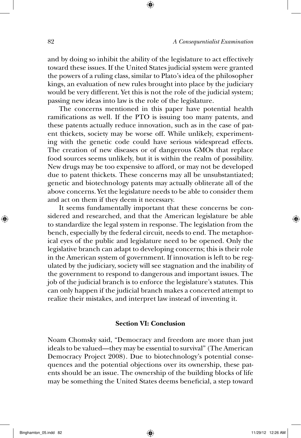and by doing so inhibit the ability of the legislature to act effectively toward these issues. If the United States judicial system were granted the powers of a ruling class, similar to Plato's idea of the philosopher kings, an evaluation of new rules brought into place by the judiciary would be very different. Yet this is not the role of the judicial system; passing new ideas into law is the role of the legislature.

The concerns mentioned in this paper have potential health ramifications as well. If the PTO is issuing too many patents, and these patents actually reduce innovation, such as in the case of patent thickets, society may be worse off. While unlikely, experimenting with the genetic code could have serious widespread effects. The creation of new diseases or of dangerous GMOs that replace food sources seems unlikely, but it is within the realm of possibility. New drugs may be too expensive to afford, or may not be developed due to patent thickets. These concerns may all be unsubstantiated; genetic and biotechnology patents may actually obliterate all of the above concerns. Yet the legislature needs to be able to consider them and act on them if they deem it necessary.

It seems fundamentally important that these concerns be considered and researched, and that the American legislature be able to standardize the legal system in response. The legislation from the bench, especially by the federal circuit, needs to end. The metaphorical eyes of the public and legislature need to be opened. Only the legislative branch can adapt to developing concerns; this is their role in the American system of government. If innovation is left to be regulated by the judiciary, society will see stagnation and the inability of the government to respond to dangerous and important issues. The job of the judicial branch is to enforce the legislature's statutes. This can only happen if the judicial branch makes a concerted attempt to realize their mistakes, and interpret law instead of inventing it.

### **Section VI: Conclusion**

Noam Chomsky said, "Democracy and freedom are more than just ideals to be valued—they may be essential to survival" (The American Democracy Project 2008). Due to biotechnology's potential consequences and the potential objections over its ownership, these patents should be an issue. The ownership of the building blocks of life may be something the United States deems beneficial, a step toward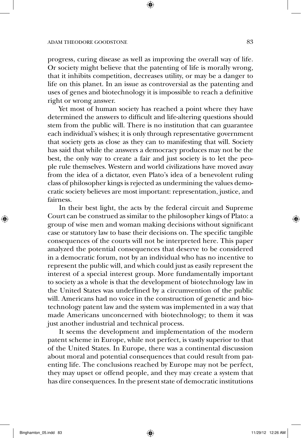progress, curing disease as well as improving the overall way of life. Or society might believe that the patenting of life is morally wrong, that it inhibits competition, decreases utility, or may be a danger to life on this planet. In an issue as controversial as the patenting and uses of genes and biotechnology it is impossible to reach a definitive right or wrong answer.

Yet most of human society has reached a point where they have determined the answers to difficult and life-altering questions should stem from the public will. There is no institution that can guarantee each individual's wishes; it is only through representative government that society gets as close as they can to manifesting that will. Society has said that while the answers a democracy produces may not be the best, the only way to create a fair and just society is to let the people rule themselves. Western and world civilizations have moved away from the idea of a dictator, even Plato's idea of a benevolent ruling class of philosopher kings is rejected as undermining the values democratic society believes are most important: representation, justice, and fairness.

In their best light, the acts by the federal circuit and Supreme Court can be construed as similar to the philosopher kings of Plato: a group of wise men and woman making decisions without significant case or statutory law to base their decisions on. The specific tangible consequences of the courts will not be interpreted here. This paper analyzed the potential consequences that deserve to be considered in a democratic forum, not by an individual who has no incentive to represent the public will, and which could just as easily represent the interest of a special interest group. More fundamentally important to society as a whole is that the development of biotechnology law in the United States was underlined by a circumvention of the public will. Americans had no voice in the construction of genetic and biotechnology patent law and the system was implemented in a way that made Americans unconcerned with biotechnology; to them it was just another industrial and technical process.

It seems the development and implementation of the modern patent scheme in Europe, while not perfect, is vastly superior to that of the United States. In Europe, there was a continental discussion about moral and potential consequences that could result from patenting life. The conclusions reached by Europe may not be perfect, they may upset or offend people, and they may create a system that has dire consequences. In the present state of democratic institutions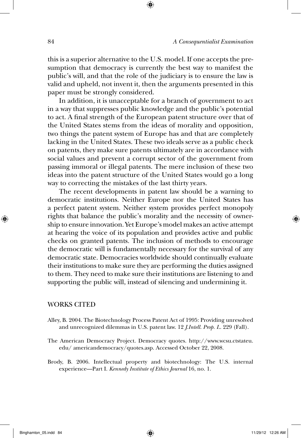this is a superior alternative to the U.S. model. If one accepts the presumption that democracy is currently the best way to manifest the public's will, and that the role of the judiciary is to ensure the law is valid and upheld, not invent it, then the arguments presented in this paper must be strongly considered.

In addition, it is unacceptable for a branch of government to act in a way that suppresses public knowledge and the public's potential to act. A final strength of the European patent structure over that of the United States stems from the ideas of morality and opposition, two things the patent system of Europe has and that are completely lacking in the United States. These two ideals serve as a public check on patents, they make sure patents ultimately are in accordance with social values and prevent a corrupt sector of the government from passing immoral or illegal patents. The mere inclusion of these two ideas into the patent structure of the United States would go a long way to correcting the mistakes of the last thirty years.

The recent developments in patent law should be a warning to democratic institutions. Neither Europe nor the United States has a perfect patent system. Neither system provides perfect monopoly rights that balance the public's morality and the necessity of ownership to ensure innovation. Yet Europe's model makes an active attempt at hearing the voice of its population and provides active and public checks on granted patents. The inclusion of methods to encourage the democratic will is fundamentally necessary for the survival of any democratic state. Democracies worldwide should continually evaluate their institutions to make sure they are performing the duties assigned to them. They need to make sure their institutions are listening to and supporting the public will, instead of silencing and undermining it.

### WORKS CITED

- Alley, B. 2004. The Biotechnology Process Patent Act of 1995: Providing unresolved and unrecognized dilemmas in U.S. patent law. 12 *J.Intell. Prop. L.* 229 (Fall).
- The American Democracy Project. Democracy quotes. http://www.wcsu.ctstateu. edu/ americandemocracy/quotes.asp. Accessed October 22, 2008.
- Brody, B. 2006. Intellectual property and biotechnology: The U.S. internal experience—Part I. *Kennedy Institute of Ethics Journal* 16, no. 1.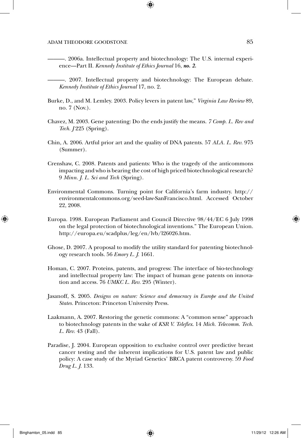———. 2006a. Intellectual property and biotechnology: The U.S. internal experience—Part II. *Kennedy Institute of Ethics Journal* 16, *no. 2.*

———. 2007. Intellectual property and biotechnology: The European debate. *Kennedy Institute of Ethics Journal* 17, no. 2.

- Burke, D., and M. Lemley. 2003. Policy levers in patent law," *Virginia Law Review* 89, no. 7 (Nov.).
- Chavez, M. 2003. Gene patenting: Do the ends justify the means. *7 Comp. L. Rev and Tech. J* 225 (Spring).
- Chin, A. 2006. Artful prior art and the quality of DNA patents. 57 *ALA. L. Rev.* 975 (Summer).
- Crenshaw, C. 2008. Patents and patients: Who is the tragedy of the anticommons impacting and who is bearing the cost of high priced biotechnological research? 9 *Minn. J. L. Sci and Tech* (Spring).
- Environmental Commons. Turning point for California's farm industry. http:// environmentalcommons.org/seed-law-SanFrancisco.html. Accessed October 22, 2008.
- Europa. 1998. European Parliament and Council Directive 98/44/EC 6 July 1998 on the legal protection of biotechnological inventions." The European Union. http://europa.eu/scadplus/leg/en/lvb/l26026.htm.
- Ghose, D. 2007. A proposal to modify the utility standard for patenting biotechnology research tools. 56 *Emory L. J.* 1661.
- Homan, C. 2007. Proteins, patents, and progress: The interface of bio-technology and intellectual property law: The impact of human gene patents on innovation and access. 76 *UMKC L. Rev.* 295 (Winter).
- Jasanoff, S. 2005. *Designs on nature: Science and democracy in Europe and the United States.* Princeton: Princeton University Press.
- Laakmann, A. 2007. Restoring the genetic commons: A "common sense" approach to biotechnology patents in the wake of *KSR V. Teleflex*. 14 *Mich. Telecomm. Tech. L. Rev.* 43 (Fall).
- Paradise, J. 2004. European opposition to exclusive control over predictive breast cancer testing and the inherent implications for U.S. patent law and public policy: A case study of the Myriad Genetics' BRCA patent controversy. 59 *Food Drug L. J.* 133.